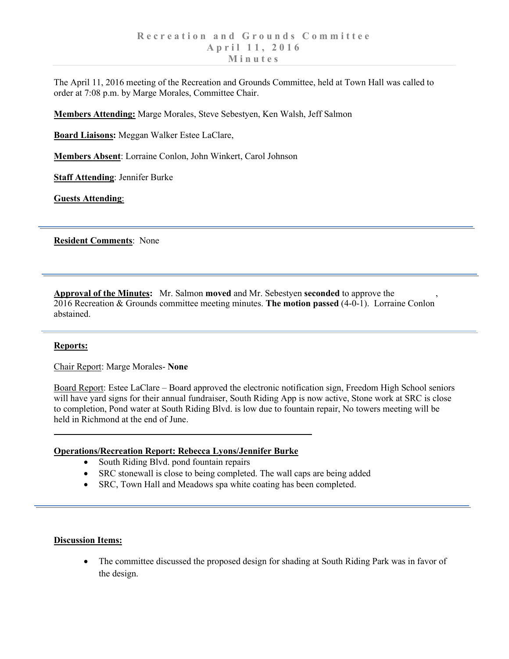The April 11, 2016 meeting of the Recreation and Grounds Committee, held at Town Hall was called to order at 7:08 p.m. by Marge Morales, Committee Chair.

**Members Attending:** Marge Morales, Steve Sebestyen, Ken Walsh, Jeff Salmon

**Board Liaisons:** Meggan Walker Estee LaClare,

**Members Absent**: Lorraine Conlon, John Winkert, Carol Johnson

**Staff Attending**: Jennifer Burke

**Guests Attending**:

**Resident Comments**: None

**Approval of the Minutes:** Mr. Salmon **moved** and Mr. Sebestyen **seconded** to approve the , 2016 Recreation & Grounds committee meeting minutes. **The motion passed** (4-0-1). Lorraine Conlon abstained.

## **Reports:**

Chair Report: Marge Morales- **None**

Board Report: Estee LaClare – Board approved the electronic notification sign, Freedom High School seniors will have yard signs for their annual fundraiser, South Riding App is now active, Stone work at SRC is close to completion, Pond water at South Riding Blvd. is low due to fountain repair, No towers meeting will be held in Richmond at the end of June.

## **Operations/Recreation Report: Rebecca Lyons/Jennifer Burke**

- South Riding Blvd. pond fountain repairs
- SRC stonewall is close to being completed. The wall caps are being added
- SRC, Town Hall and Meadows spa white coating has been completed.

## **Discussion Items:**

• The committee discussed the proposed design for shading at South Riding Park was in favor of the design.